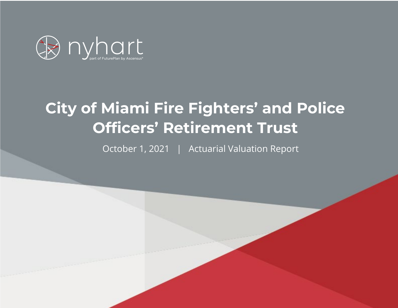

# **City of Miami Fire Fighters' and Police Officers' Retirement Trust**

October 1, 2021 | Actuarial Valuation Report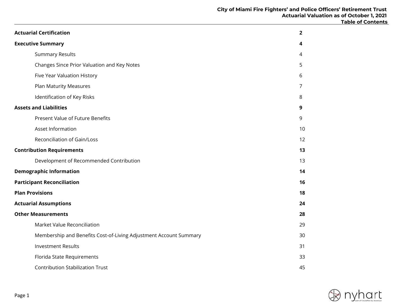| <b>Actuarial Certification</b>                                    | $\overline{2}$ |
|-------------------------------------------------------------------|----------------|
| <b>Executive Summary</b>                                          | 4              |
| <b>Summary Results</b>                                            | 4              |
| Changes Since Prior Valuation and Key Notes                       | 5              |
| Five Year Valuation History                                       | 6              |
| Plan Maturity Measures                                            | 7              |
| Identification of Key Risks                                       | 8              |
| <b>Assets and Liabilities</b>                                     | 9              |
| Present Value of Future Benefits                                  | 9              |
| Asset Information                                                 | 10             |
| Reconciliation of Gain/Loss                                       | 12             |
| <b>Contribution Requirements</b>                                  | 13             |
| Development of Recommended Contribution                           | 13             |
| <b>Demographic Information</b>                                    | 14             |
| <b>Participant Reconciliation</b>                                 | 16             |
| <b>Plan Provisions</b>                                            | 18             |
| <b>Actuarial Assumptions</b>                                      | 24             |
| <b>Other Measurements</b>                                         | 28             |
| Market Value Reconciliation                                       | 29             |
| Membership and Benefits Cost-of-Living Adjustment Account Summary | 30             |
| <b>Investment Results</b>                                         | 31             |
| Florida State Requirements                                        | 33             |
| <b>Contribution Stabilization Trust</b>                           | 45             |

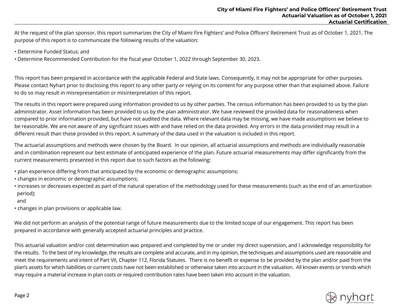At the request of the plan sponsor, this report summarizes the City of Miami Fire Fighters' and Police Officers' Retirement Trust as of October 1, 2021. The purpose of this report is to communicate the following results of the valuation:

- Determine Funded Status; and
- Determine Recommended Contribution for the fiscal year October 1, 2022 through September 30, 2023.

This report has been prepared in accordance with the applicable Federal and State laws. Consequently, it may not be appropriate for other purposes. Please contact Nyhart prior to disclosing this report to any other party or relying on its content for any purpose other than that explained above. Failure to do so may result in misrepresentation or misinterpretation of this report.

The results in this report were prepared using information provided to us by other parties. The census information has been provided to us by the plan administrator. Asset information has been provided to us by the plan administrator. We have reviewed the provided data for reasonableness when compared to prior information provided, but have not audited the data. Where relevant data may be missing, we have made assumptions we believe to be reasonable. We are not aware of any significant issues with and have relied on the data provided. Any errors in the data provided may result in a different result than those provided in this report. A summary of the data used in the valuation is included in this report.

The actuarial assumptions and methods were chosen by the Board. In our opinion, all actuarial assumptions and methods are individually reasonable and in combination represent our best estimate of anticipated experience of the plan. Future actuarial measurements may differ significantly from the current measurements presented in this report due to such factors as the following:

- plan experience differing from that anticipated by the economic or demographic assumptions;
- changes in economic or demographic assumptions;
- increases or decreases expected as part of the natural operation of the methodology used for these measurements (such as the end of an amortization period);

#### and

• changes in plan provisions or applicable law.

We did not perform an analysis of the potential range of future measurements due to the limited scope of our engagement. This report has been prepared in accordance with generally accepted actuarial principles and practice.

This actuarial valuation and/or cost determination was prepared and completed by me or under my direct supervision, and I acknowledge responsibility for the results. To the best of my knowledge, the results are complete and accurate, and in my opinion, the techniques and assumptions used are reasonable and meet the requirements and intent of Part VII, Chapter 112, Florida Statutes. There is no benefit or expense to be provided by the plan and/or paid from the plan's assets for which liabilities or current costs have not been established or otherwise taken into account in the valuation. All known events or trends which may require a material increase in plan costs or required contribution rates have been taken into account in the valuation.

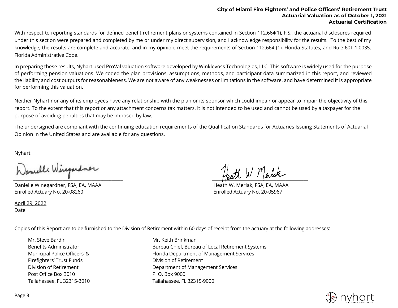With respect to reporting standards for defined benefit retirement plans or systems contained in Section 112.664(1), F.S., the actuarial disclosures required under this section were prepared and completed by me or under my direct supervision, and I acknowledge responsibility for the results. To the best of my knowledge, the results are complete and accurate, and in my opinion, meet the requirements of Section 112.664 (1), Florida Statutes, and Rule 60T-1.0035, Florida Administrative Code.

In preparing these results, Nyhart used ProVal valuation software developed by Winklevoss Technologies, LLC. This software is widely used for the purpose of performing pension valuations. We coded the plan provisions, assumptions, methods, and participant data summarized in this report, and reviewed the liability and cost outputs for reasonableness. We are not aware of any weaknesses or limitations in the software, and have determined it is appropriate for performing this valuation.

Neither Nyhart nor any of its employees have any relationship with the plan or its sponsor which could impair or appear to impair the objectivity of this report. To the extent that this report or any attachment concerns tax matters, it is not intended to be used and cannot be used by a taxpayer for the purpose of avoiding penalties that may be imposed by law.

The undersigned are compliant with the continuing education requirements of the Qualification Standards for Actuaries Issuing Statements of Actuarial Opinion in the United States and are available for any questions.

Nyhart

Danielle Winegardner, FSA, EA, MAAA heath W. Merlak, FSA, EA, MAAA heath W. Merlak, FSA, EA, MAAA Enrolled Actuary No. 20-08260 Enrolled Actuary No. 20-05967

April 29, 2022 Date

 $\frac{1}{\sqrt{2\pi}}$ 

Copies of this Report are to be furnished to the Division of Retirement within 60 days of receipt from the actuary at the following addresses:

Mr. Steve Bardin Mr. Keith Brinkman Firefighters' Trust Funds<br>
Division of Retirement Post Office Box 3010 P.O. Box 9000 Tallahassee, FL 32315-3010 Tallahassee, FL 32315-9000

Benefits Administrator **Bureau Chief, Bureau of Local Retirement Systems** Municipal Police Officers' & Florida Department of Management Services Division of Retirement Department of Management Services

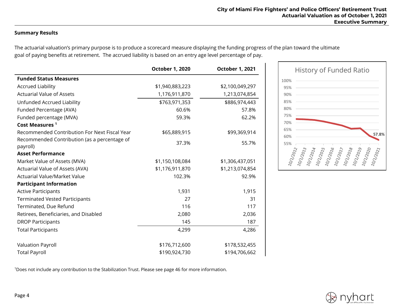## **Summary Results**

The actuarial valuation's primary purpose is to produce a scorecard measure displaying the funding progress of the plan toward the ultimate goal of paying benefits at retirement. The accrued liability is based on an entry age level percentage of pay.

|                                                          | <b>October 1, 2020</b> | <b>October 1, 2021</b> |
|----------------------------------------------------------|------------------------|------------------------|
| <b>Funded Status Measures</b>                            |                        |                        |
| <b>Accrued Liability</b>                                 | \$1,940,883,223        | \$2,100,049,297        |
| <b>Actuarial Value of Assets</b>                         | 1,176,911,870          | 1,213,074,854          |
| Unfunded Accrued Liability                               | \$763,971,353          | \$886,974,443          |
| Funded Percentage (AVA)                                  | 60.6%                  | 57.8%                  |
| Funded percentage (MVA)                                  | 59.3%                  | 62.2%                  |
| Cost Measures <sup>1</sup>                               |                        |                        |
| Recommended Contribution For Next Fiscal Year            | \$65,889,915           | \$99,369,914           |
| Recommended Contribution (as a percentage of<br>payroll) | 37.3%                  | 55.7%                  |
| <b>Asset Performance</b>                                 |                        |                        |
| Market Value of Assets (MVA)                             | \$1,150,108,084        | \$1,306,437,051        |
| Actuarial Value of Assets (AVA)                          | \$1,176,911,870        | \$1,213,074,854        |
| <b>Actuarial Value/Market Value</b>                      | 102.3%                 | 92.9%                  |
| <b>Participant Information</b>                           |                        |                        |
| <b>Active Participants</b>                               | 1,931                  | 1,915                  |
| <b>Terminated Vested Participants</b>                    | 27                     | 31                     |
| Terminated, Due Refund                                   | 116                    | 117                    |
| Retirees, Beneficiaries, and Disabled                    | 2,080                  | 2,036                  |
| <b>DROP Participants</b>                                 | 145                    | 187                    |
| <b>Total Participants</b>                                | 4,299                  | 4,286                  |
| Valuation Payroll                                        | \$176,712,600          | \$178,532,455          |
| <b>Total Payroll</b>                                     | \$190,924,730          | \$194,706,662          |





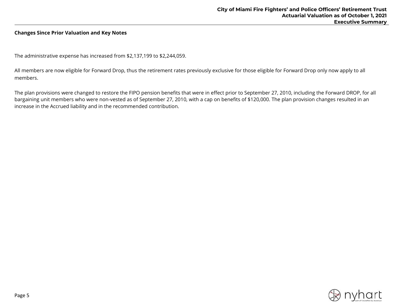#### **Changes Since Prior Valuation and Key Notes**

The administrative expense has increased from \$2,137,199 to \$2,244,059.

All members are now eligible for Forward Drop, thus the retirement rates previously exclusive for those eligible for Forward Drop only now apply to all members.

The plan provisions were changed to restore the FIPO pension benefits that were in effect prior to September 27, 2010, including the Forward DROP, for all bargaining unit members who were non-vested as of September 27, 2010, with a cap on benefits of \$120,000. The plan provision changes resulted in an increase in the Accrued liability and in the recommended contribution.

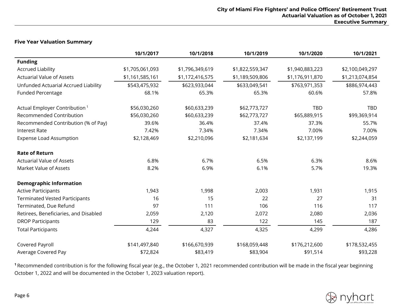#### **Five Year Valuation Summary**

|                                           | 10/1/2017       | 10/1/2018       | 10/1/2019       | 10/1/2020       | 10/1/2021       |
|-------------------------------------------|-----------------|-----------------|-----------------|-----------------|-----------------|
| <b>Funding</b>                            |                 |                 |                 |                 |                 |
| <b>Accrued Liability</b>                  | \$1,705,061,093 | \$1,796,349,619 | \$1,822,559,347 | \$1,940,883,223 | \$2,100,049,297 |
| <b>Actuarial Value of Assets</b>          | \$1,161,585,161 | \$1,172,416,575 | \$1,189,509,806 | \$1,176,911,870 | \$1,213,074,854 |
| Unfunded Actuarial Accrued Liability      | \$543,475,932   | \$623,933,044   | \$633,049,541   | \$763,971,353   | \$886,974,443   |
| <b>Funded Percentage</b>                  | 68.1%           | 65.3%           | 65.3%           | 60.6%           | 57.8%           |
| Actual Employer Contribution <sup>1</sup> | \$56,030,260    | \$60,633,239    | \$62,773,727    | <b>TBD</b>      | TBD             |
| <b>Recommended Contribution</b>           | \$56,030,260    | \$60,633,239    | \$62,773,727    | \$65,889,915    | \$99,369,914    |
| Recommended Contribution (% of Pay)       | 39.6%           | 36.4%           | 37.4%           | 37.3%           | 55.7%           |
| <b>Interest Rate</b>                      | 7.42%           | 7.34%           | 7.34%           | 7.00%           | 7.00%           |
| <b>Expense Load Assumption</b>            | \$2,128,469     | \$2,210,096     | \$2,181,634     | \$2,137,199     | \$2,244,059     |
| <b>Rate of Return</b>                     |                 |                 |                 |                 |                 |
| <b>Actuarial Value of Assets</b>          | 6.8%            | 6.7%            | 6.5%            | 6.3%            | 8.6%            |
| Market Value of Assets                    | 8.2%            | 6.9%            | 6.1%            | 5.7%            | 19.3%           |
| <b>Demographic Information</b>            |                 |                 |                 |                 |                 |
| <b>Active Participants</b>                | 1,943           | 1,998           | 2,003           | 1,931           | 1,915           |
| <b>Terminated Vested Participants</b>     | 16              | 15              | 22              | 27              | 31              |
| Terminated, Due Refund                    | 97              | 111             | 106             | 116             | 117             |
| Retirees, Beneficiaries, and Disabled     | 2,059           | 2,120           | 2,072           | 2,080           | 2,036           |
| <b>DROP Participants</b>                  | 129             | 83              | 122             | 145             | 187             |
| <b>Total Participants</b>                 | 4,244           | 4,327           | 4,325           | 4,299           | 4,286           |
| Covered Payroll                           | \$141,497,840   | \$166,670,939   | \$168,059,448   | \$176,212,600   | \$178,532,455   |
| Average Covered Pay                       | \$72,824        | \$83,419        | \$83,904        | \$91,514        | \$93,228        |

**<sup>1</sup>**Recommended contribution is for the following fiscal year (e.g., the October 1, 2021 recommended contribution will be made in the fiscal year beginning October 1, 2022 and will be documented in the October 1, 2023 valuation report).

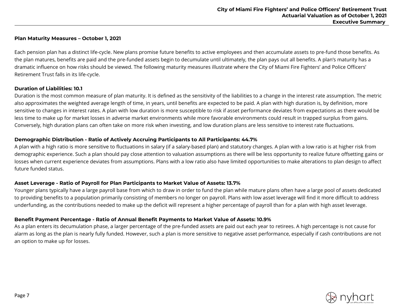#### **Plan Maturity Measures – October 1, 2021**

Each pension plan has a distinct life-cycle. New plans promise future benefits to active employees and then accumulate assets to pre-fund those benefits. As the plan matures, benefits are paid and the pre-funded assets begin to decumulate until ultimately, the plan pays out all benefits. A plan's maturity has a dramatic influence on how risks should be viewed. The following maturity measures illustrate where the City of Miami Fire Fighters' and Police Officers' Retirement Trust falls in its life-cycle.

#### **Duration of Liabilities: 10.1**

Duration is the most common measure of plan maturity. It is defined as the sensitivity of the liabilities to a change in the interest rate assumption. The metric also approximates the weighted average length of time, in years, until benefits are expected to be paid. A plan with high duration is, by definition, more sensitive to changes in interest rates. A plan with low duration is more susceptible to risk if asset performance deviates from expectations as there would be less time to make up for market losses in adverse market environments while more favorable environments could result in trapped surplus from gains. Conversely, high duration plans can often take on more risk when investing, and low duration plans are less sensitive to interest rate fluctuations.

#### **Demographic Distribution - Ratio of Actively Accruing Participants to All Participants: 44.7%**

A plan with a high ratio is more sensitive to fluctuations in salary (if a salary-based plan) and statutory changes. A plan with a low ratio is at higher risk from demographic experience. Such a plan should pay close attention to valuation assumptions as there will be less opportunity to realize future offsetting gains or losses when current experience deviates from assumptions. Plans with a low ratio also have limited opportunities to make alterations to plan design to affect future funded status.

#### **Asset Leverage - Ratio of Payroll for Plan Participants to Market Value of Assets: 13.7%**

Younger plans typically have a large payroll base from which to draw in order to fund the plan while mature plans often have a large pool of assets dedicated to providing benefits to a population primarily consisting of members no longer on payroll. Plans with low asset leverage will find it more difficult to address underfunding, as the contributions needed to make up the deficit will represent a higher percentage of payroll than for a plan with high asset leverage.

# **Benefit Payment Percentage - Ratio of Annual Benefit Payments to Market Value of Assets: 10.9%**

As a plan enters its decumulation phase, a larger percentage of the pre-funded assets are paid out each year to retirees. A high percentage is not cause for alarm as long as the plan is nearly fully funded. However, such a plan is more sensitive to negative asset performance, especially if cash contributions are not an option to make up for losses.

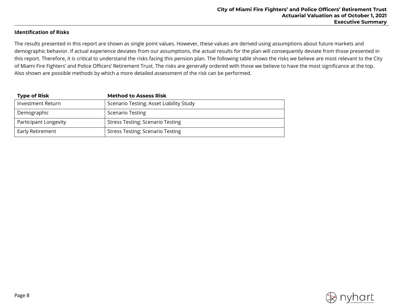#### **Identification of Risks**

The results presented in this report are shown as single point values. However, these values are derived using assumptions about future markets and demographic behavior. If actual experience deviates from our assumptions, the actual results for the plan will consequently deviate from those presented in this report. Therefore, it is critical to understand the risks facing this pension plan. The following table shows the risks we believe are most relevant to the City of Miami Fire Fighters' and Police Officers' Retirement Trust. The risks are generally ordered with those we believe to have the most significance at the top. Also shown are possible methods by which a more detailed assessment of the risk can be performed.

| <b>Type of Risk</b>   | <b>Method to Assess Risk</b>            |
|-----------------------|-----------------------------------------|
| Investment Return     | Scenario Testing; Asset Liability Study |
| Demographic           | <b>Scenario Testing</b>                 |
| Participant Longevity | <b>Stress Testing; Scenario Testing</b> |
| Early Retirement      | <b>Stress Testing; Scenario Testing</b> |

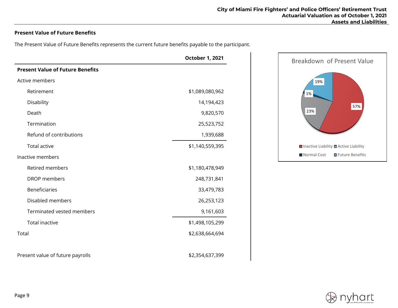# **Present Value of Future Benefits**

The Present Value of Future Benefits represents the current future benefits payable to the participant.

|                                         | <b>October 1, 2021</b> |  |  |  |  |
|-----------------------------------------|------------------------|--|--|--|--|
| <b>Present Value of Future Benefits</b> |                        |  |  |  |  |
| Active members                          |                        |  |  |  |  |
| Retirement                              | \$1,089,080,962        |  |  |  |  |
| Disability                              | 14,194,423             |  |  |  |  |
| Death                                   | 9,820,570              |  |  |  |  |
| Termination                             | 25,523,752             |  |  |  |  |
| Refund of contributions                 | 1,939,688              |  |  |  |  |
| <b>Total active</b>                     | \$1,140,559,395        |  |  |  |  |
| Inactive members                        |                        |  |  |  |  |
| <b>Retired members</b>                  | \$1,180,478,949        |  |  |  |  |
| <b>DROP</b> members                     | 248,731,841            |  |  |  |  |
| <b>Beneficiaries</b>                    | 33,479,783             |  |  |  |  |
| Disabled members                        | 26,253,123             |  |  |  |  |
| Terminated vested members               | 9,161,603              |  |  |  |  |
| <b>Total inactive</b>                   | \$1,498,105,299        |  |  |  |  |
| Total                                   | \$2,638,664,694        |  |  |  |  |
| Present value of future payrolls        | \$2,354,637,399        |  |  |  |  |



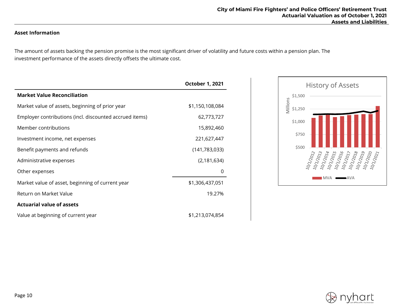# **Asset Information**

The amount of assets backing the pension promise is the most significant driver of volatility and future costs within a pension plan. The investment performance of the assets directly offsets the ultimate cost.

|                                                         | <b>October 1, 2021</b> |
|---------------------------------------------------------|------------------------|
| <b>Market Value Reconciliation</b>                      |                        |
| Market value of assets, beginning of prior year         | \$1,150,108,084        |
| Employer contributions (incl. discounted accrued items) | 62,773,727             |
| Member contributions                                    | 15,892,460             |
| Investment income, net expenses                         | 221,627,447            |
| Benefit payments and refunds                            | (141, 783, 033)        |
| Administrative expenses                                 | (2, 181, 634)          |
| Other expenses                                          | 0                      |
| Market value of asset, beginning of current year        | \$1,306,437,051        |
| Return on Market Value                                  | 19.27%                 |
| <b>Actuarial value of assets</b>                        |                        |
| Value at beginning of current year                      | \$1,213,074,854        |



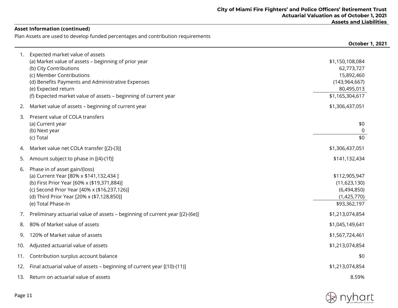## **Asset Information (continued)**

Plan Assets are used to develop funded percentages and contribution requirements

|     |                                                                                                                                                                                                                                                                                              | <b>October 1, 2021</b>                                                                          |
|-----|----------------------------------------------------------------------------------------------------------------------------------------------------------------------------------------------------------------------------------------------------------------------------------------------|-------------------------------------------------------------------------------------------------|
| 1.  | Expected market value of assets<br>(a) Market value of assets - beginning of prior year<br>(b) City Contributions<br>(c) Member Contributions<br>(d) Benefits Payments and Administrative Expenses<br>(e) Expected return<br>(f) Expected market value of assets - beginning of current year | \$1,150,108,084<br>62,773,727<br>15,892,460<br>(143, 964, 667)<br>80,495,013<br>\$1,165,304,617 |
| 2.  | Market value of assets - beginning of current year                                                                                                                                                                                                                                           | \$1,306,437,051                                                                                 |
| 3.  | Present value of COLA transfers<br>(a) Current year<br>(b) Next year<br>(c) Total                                                                                                                                                                                                            | \$0<br>0<br>\$0                                                                                 |
| 4.  | Market value net COLA transfer [(2)-(3)]                                                                                                                                                                                                                                                     | \$1,306,437,051                                                                                 |
| 5.  | Amount subject to phase in [(4)-(1f)]                                                                                                                                                                                                                                                        | \$141,132,434                                                                                   |
| 6.  | Phase in of asset gain/(loss)<br>(a) Current Year [80% x \$141,132,434 ]<br>(b) First Prior Year [60% x (\$19,371,884)]<br>(c) Second Prior Year [40% x (\$16,237,126)]<br>(d) Third Prior Year [20% x (\$7,128,850)]<br>(e) Total Phase-In                                                  | \$112,905,947<br>(11,623,130)<br>(6,494,850)<br>(1,425,770)<br>\$93,362,197                     |
| 7.  | Preliminary actuarial value of assets - beginning of current year [(2)-(6e)]                                                                                                                                                                                                                 | \$1,213,074,854                                                                                 |
| 8.  | 80% of Market value of assets                                                                                                                                                                                                                                                                | \$1,045,149,641                                                                                 |
| 9.  | 120% of Market value of assets                                                                                                                                                                                                                                                               | \$1,567,724,461                                                                                 |
| 10. | Adjusted actuarial value of assets                                                                                                                                                                                                                                                           | \$1,213,074,854                                                                                 |
| 11. | Contribution surplus account balance                                                                                                                                                                                                                                                         | \$0                                                                                             |
| 12. | Final actuarial value of assets - beginning of current year [(10)-(11)]                                                                                                                                                                                                                      | \$1,213,074,854                                                                                 |
| 13. | Return on actuarial value of assets                                                                                                                                                                                                                                                          | 8.59%                                                                                           |

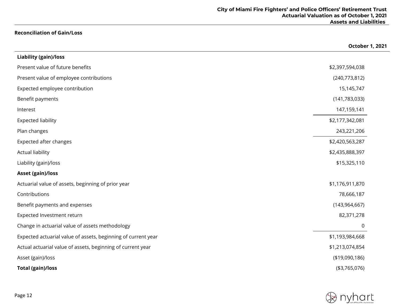# **Reconciliation of Gain/Loss**

|                                                               | October 1, 2021 |
|---------------------------------------------------------------|-----------------|
| Liability (gain)/loss                                         |                 |
| Present value of future benefits                              | \$2,397,594,038 |
| Present value of employee contributions                       | (240, 773, 812) |
| Expected employee contribution                                | 15,145,747      |
| Benefit payments                                              | (141, 783, 033) |
| Interest                                                      | 147,159,141     |
| <b>Expected liability</b>                                     | \$2,177,342,081 |
| Plan changes                                                  | 243,221,206     |
| Expected after changes                                        | \$2,420,563,287 |
| <b>Actual liability</b>                                       | \$2,435,888,397 |
| Liability (gain)/loss                                         | \$15,325,110    |
| <b>Asset (gain)/loss</b>                                      |                 |
| Actuarial value of assets, beginning of prior year            | \$1,176,911,870 |
| Contributions                                                 | 78,666,187      |
| Benefit payments and expenses                                 | (143, 964, 667) |
| Expected Investment return                                    | 82,371,278      |
| Change in actuarial value of assets methodology               | 0               |
| Expected actuarial value of assets, beginning of current year | \$1,193,984,668 |
| Actual actuarial value of assets, beginning of current year   | \$1,213,074,854 |
| Asset (gain)/loss                                             | (\$19,090,186)  |
| <b>Total (gain)/loss</b>                                      | ( \$3,765,076)  |

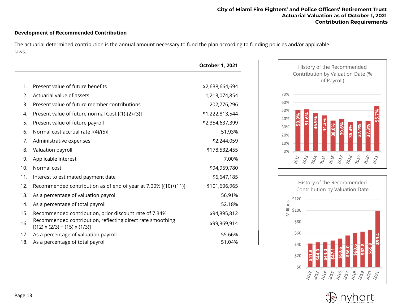# **Development of Recommended Contribution**

The actuarial determined contribution is the annual amount necessary to fund the plan according to funding policies and/or applicable laws.

|     |                                                                                                         | <b>October 1, 2021</b> |
|-----|---------------------------------------------------------------------------------------------------------|------------------------|
|     |                                                                                                         |                        |
| 1.  | Present value of future benefits                                                                        | \$2,638,664,694        |
| 2.  | Actuarial value of assets                                                                               | 1,213,074,854          |
| 3.  | Present value of future member contributions                                                            | 202,776,296            |
| 4.  | Present value of future normal Cost [(1)-(2)-(3)]                                                       | \$1,222,813,544        |
| 5.  | Present value of future payroll                                                                         | \$2,354,637,399        |
| 6.  | Normal cost accrual rate [(4)/(5)]                                                                      | 51.93%                 |
| 7.  | Administrative expenses                                                                                 | \$2,244,059            |
| 8.  | Valuation payroll                                                                                       | \$178,532,455          |
| 9.  | Applicable interest                                                                                     | 7.00%                  |
| 10. | Normal cost                                                                                             | \$94,959,780           |
| 11. | Interest to estimated payment date                                                                      | \$6,647,185            |
| 12. | Recommended contribution as of end of year at 7.00% [(10)+(11)]                                         | \$101,606,965          |
| 13. | As a percentage of valuation payroll                                                                    | 56.91%                 |
| 14. | As a percentage of total payroll                                                                        | 52.18%                 |
| 15. | Recommended contribution, prior discount rate of 7.34%                                                  | \$94,895,812           |
| 16. | Recommended contribution, reflecting direct rate smoothing<br>$[(12) \times (2/3) + (15) \times (1/3)]$ | \$99,369,914           |
| 17. | As a percentage of valuation payroll                                                                    | 55.66%                 |
| 18. | As a percentage of total payroll                                                                        | 51.04%                 |





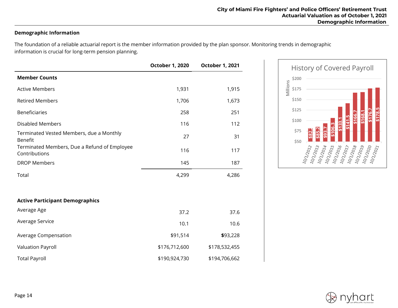# **Demographic Information**

The foundation of a reliable actuarial report is the member information provided by the plan sponsor. Monitoring trends in demographic information is crucial for long-term pension planning.

|                                                               | <b>October 1, 2020</b> | October 1, 2021 |
|---------------------------------------------------------------|------------------------|-----------------|
| <b>Member Counts</b>                                          |                        |                 |
| <b>Active Members</b>                                         | 1,931                  | 1,915           |
| <b>Retired Members</b>                                        | 1,706                  | 1,673           |
| <b>Beneficiaries</b>                                          | 258                    | 251             |
| <b>Disabled Members</b>                                       | 116                    | 112             |
| Terminated Vested Members, due a Monthly<br><b>Benefit</b>    | 27                     | 31              |
| Terminated Members, Due a Refund of Employee<br>Contributions | 116                    | 117             |
| <b>DROP Members</b>                                           | 145                    | 187             |
| Total                                                         | 4,299                  | 4,286           |
| <b>Active Participant Demographics</b>                        |                        |                 |
| Average Age                                                   | 37.2                   | 37.6            |
| Average Service                                               | 10.1                   | 10.6            |
| Average Compensation                                          | \$91,514               | \$93,228        |
| Valuation Payroll                                             | \$176,712,600          | \$178,532,455   |
| <b>Total Payroll</b>                                          | \$190,924,730          | \$194,706,662   |



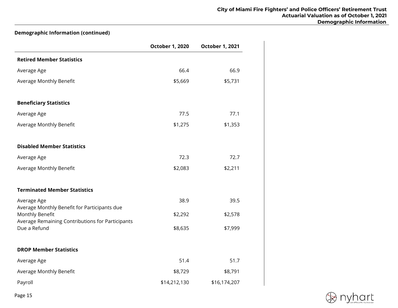# **Demographic Information (continued)**

|                                                                                                                     | <b>October 1, 2020</b> | <b>October 1, 2021</b> |
|---------------------------------------------------------------------------------------------------------------------|------------------------|------------------------|
| <b>Retired Member Statistics</b>                                                                                    |                        |                        |
| Average Age                                                                                                         | 66.4                   | 66.9                   |
| Average Monthly Benefit                                                                                             | \$5,669                | \$5,731                |
| <b>Beneficiary Statistics</b>                                                                                       |                        |                        |
| Average Age                                                                                                         | 77.5                   | 77.1                   |
| Average Monthly Benefit                                                                                             | \$1,275                | \$1,353                |
| <b>Disabled Member Statistics</b>                                                                                   |                        |                        |
| Average Age                                                                                                         | 72.3                   | 72.7                   |
| Average Monthly Benefit                                                                                             | \$2,083                | \$2,211                |
| <b>Terminated Member Statistics</b>                                                                                 |                        |                        |
| Average Age                                                                                                         | 38.9                   | 39.5                   |
| Average Monthly Benefit for Participants due<br>Monthly Benefit<br>Average Remaining Contributions for Participants | \$2,292                | \$2,578                |
| Due a Refund                                                                                                        | \$8,635                | \$7,999                |
| <b>DROP Member Statistics</b>                                                                                       |                        |                        |
| Average Age                                                                                                         | 51.4                   | 51.7                   |
| Average Monthly Benefit                                                                                             | \$8,729                | \$8,791                |
| Payroll                                                                                                             | \$14,212,130           | \$16,174,207           |

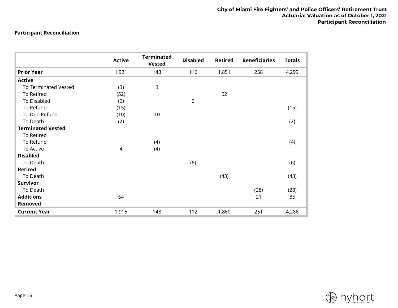# **Participant Reconciliation**

|                          | <b>Active</b> | <b>Terminated</b><br><b>Vested</b> | <b>Disabled</b> | <b>Retired</b> | <b>Beneficiaries</b> | <b>Totals</b> |
|--------------------------|---------------|------------------------------------|-----------------|----------------|----------------------|---------------|
| <b>Prior Year</b>        | 1,931         | 143                                | 116             | 1,851          | 258                  | 4,299         |
| <b>Active</b>            |               |                                    |                 |                |                      |               |
| To Terminated Vested     | (3)           | $\mathsf{3}$                       |                 |                |                      |               |
| To Retired               | (52)          |                                    |                 | 52             |                      |               |
| To Disabled              | (2)           |                                    | $\overline{2}$  |                |                      |               |
| To Refund                | (15)          |                                    |                 |                |                      | (15)          |
| To Due Refund            | (10)          | 10                                 |                 |                |                      |               |
| To Death                 | (2)           |                                    |                 |                |                      | (2)           |
| <b>Terminated Vested</b> |               |                                    |                 |                |                      |               |
| To Retired               |               |                                    |                 |                |                      |               |
| To Refund                |               | (4)                                |                 |                |                      | (4)           |
| To Active                | 4             | (4)                                |                 |                |                      |               |
| <b>Disabled</b>          |               |                                    |                 |                |                      |               |
| To Death                 |               |                                    | (6)             |                |                      | (6)           |
| <b>Retired</b>           |               |                                    |                 |                |                      |               |
| To Death                 |               |                                    |                 | (43)           |                      | (43)          |
| <b>Survivor</b>          |               |                                    |                 |                |                      |               |
| To Death                 |               |                                    |                 |                | (28)                 | (28)          |
| <b>Additions</b>         | 64            |                                    |                 |                | 21                   | 85            |
| Removed                  |               |                                    |                 |                |                      |               |
| <b>Current Year</b>      | 1,915         | 148                                | 112             | 1,860          | 251                  | 4,286         |

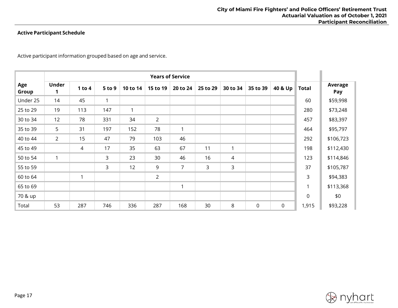# **Active Participant Schedule**

Active participant information grouped based on age and service.

|              | <b>Years of Service</b> |          |              |              |                |                |          |          |             |         |              |                |
|--------------|-------------------------|----------|--------------|--------------|----------------|----------------|----------|----------|-------------|---------|--------------|----------------|
| Age<br>Group | <b>Under</b>            | 1 to $4$ | 5 to 9       | 10 to 14     | 15 to 19       | 20 to 24       | 25 to 29 | 30 to 34 | 35 to 39    | 40 & Up | <b>Total</b> | Average<br>Pay |
| Under 25     | 14                      | 45       | $\mathbf{1}$ |              |                |                |          |          |             |         | 60           | \$59,998       |
| 25 to 29     | 19                      | 113      | 147          | $\mathbf{1}$ |                |                |          |          |             |         | 280          | \$73,248       |
| 30 to 34     | 12                      | 78       | 331          | 34           | $\overline{2}$ |                |          |          |             |         | 457          | \$83,397       |
| 35 to 39     | 5                       | 31       | 197          | 152          | 78             | $\mathbf{1}$   |          |          |             |         | 464          | \$95,797       |
| 40 to 44     | $\overline{2}$          | 15       | 47           | 79           | 103            | 46             |          |          |             |         | 292          | \$106,723      |
| 45 to 49     |                         | 4        | 17           | 35           | 63             | 67             | 11       | 1        |             |         | 198          | \$112,430      |
| 50 to 54     | $\mathbf{1}$            |          | 3            | 23           | 30             | 46             | 16       | 4        |             |         | 123          | \$114,846      |
| 55 to 59     |                         |          | 3            | 12           | 9              | $\overline{7}$ | 3        | 3        |             |         | 37           | \$105,787      |
| 60 to 64     |                         |          |              |              | $\overline{2}$ |                |          |          |             |         | 3            | \$94,383       |
| 65 to 69     |                         |          |              |              |                | $\mathbf{1}$   |          |          |             |         | 1            | \$113,368      |
| 70 & up      |                         |          |              |              |                |                |          |          |             |         | $\Omega$     | \$0            |
| Total        | 53                      | 287      | 746          | 336          | 287            | 168            | 30       | 8        | $\mathbf 0$ | 0       | 1,915        | \$93,228       |

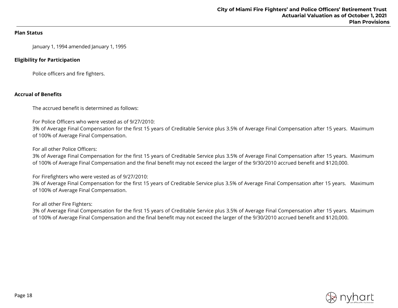#### **Plan Status**

January 1, 1994 amended January 1, 1995

## **Eligibility for Participation**

Police officers and fire fighters.

# **Accrual of Benefits**

The accrued benefit is determined as follows:

For Police Officers who were vested as of 9/27/2010:

3% of Average Final Compensation for the first 15 years of Creditable Service plus 3.5% of Average Final Compensation after 15 years. Maximum of 100% of Average Final Compensation.

For all other Police Officers:

3% of Average Final Compensation for the first 15 years of Creditable Service plus 3.5% of Average Final Compensation after 15 years. Maximum of 100% of Average Final Compensation and the final benefit may not exceed the larger of the 9/30/2010 accrued benefit and \$120,000.

For Firefighters who were vested as of 9/27/2010:

3% of Average Final Compensation for the first 15 years of Creditable Service plus 3.5% of Average Final Compensation after 15 years. Maximum of 100% of Average Final Compensation.

For all other Fire Fighters:

3% of Average Final Compensation for the first 15 years of Creditable Service plus 3.5% of Average Final Compensation after 15 years. Maximum of 100% of Average Final Compensation and the final benefit may not exceed the larger of the 9/30/2010 accrued benefit and \$120,000.

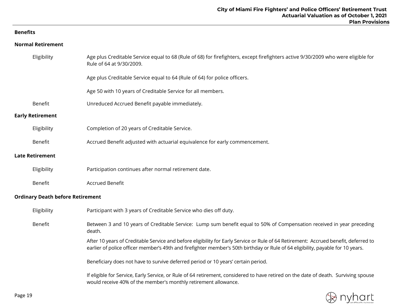# **Benefits**

## **Normal Retirement**

| Eligibility             | Age plus Creditable Service equal to 68 (Rule of 68) for firefighters, except firefighters active 9/30/2009 who were eligible for<br>Rule of 64 at 9/30/2009.                                                                                                           |
|-------------------------|-------------------------------------------------------------------------------------------------------------------------------------------------------------------------------------------------------------------------------------------------------------------------|
|                         | Age plus Creditable Service equal to 64 (Rule of 64) for police officers.                                                                                                                                                                                               |
|                         | Age 50 with 10 years of Creditable Service for all members.                                                                                                                                                                                                             |
| Benefit                 | Unreduced Accrued Benefit payable immediately.                                                                                                                                                                                                                          |
| <b>Early Retirement</b> |                                                                                                                                                                                                                                                                         |
| Eligibility             | Completion of 20 years of Creditable Service.                                                                                                                                                                                                                           |
| Benefit                 | Accrued Benefit adjusted with actuarial equivalence for early commencement.                                                                                                                                                                                             |
| <b>Late Retirement</b>  |                                                                                                                                                                                                                                                                         |
| Eligibility             | Participation continues after normal retirement date.                                                                                                                                                                                                                   |
| Benefit                 | <b>Accrued Benefit</b>                                                                                                                                                                                                                                                  |
|                         | <b>Ordinary Death before Retirement</b>                                                                                                                                                                                                                                 |
| Eligibility             | Participant with 3 years of Creditable Service who dies off duty.                                                                                                                                                                                                       |
| Benefit                 | Between 3 and 10 years of Creditable Service: Lump sum benefit equal to 50% of Compensation received in year preceding<br>death.                                                                                                                                        |
|                         | After 10 years of Creditable Service and before eligibility for Early Service or Rule of 64 Retirement: Accrued benefit, deferred to<br>earlier of police officer member's 49th and firefighter member's 50th birthday or Rule of 64 eligibility, payable for 10 years. |
|                         | Beneficiary does not have to survive deferred period or 10 years' certain period.                                                                                                                                                                                       |
|                         | If eligible for Service, Early Service, or Rule of 64 retirement, considered to have retired on the date of death. Surviving spouse<br>would receive 40% of the member's monthly retirement allowance.                                                                  |

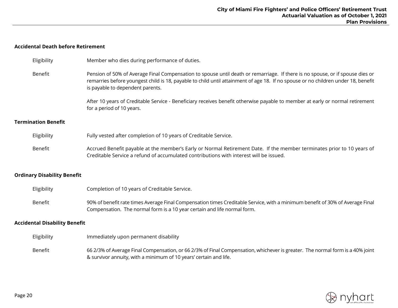# **Accidental Death before Retirement**

| Eligibility                          | Member who dies during performance of duties.                                                                                                                                                                                                                                                          |
|--------------------------------------|--------------------------------------------------------------------------------------------------------------------------------------------------------------------------------------------------------------------------------------------------------------------------------------------------------|
| Benefit                              | Pension of 50% of Average Final Compensation to spouse until death or remarriage. If there is no spouse, or if spouse dies or<br>remarries before youngest child is 18, payable to child until attainment of age 18. If no spouse or no children under 18, benefit<br>is payable to dependent parents. |
|                                      | After 10 years of Creditable Service - Beneficiary receives benefit otherwise payable to member at early or normal retirement<br>for a period of 10 years.                                                                                                                                             |
| <b>Termination Benefit</b>           |                                                                                                                                                                                                                                                                                                        |
| Eligibility                          | Fully vested after completion of 10 years of Creditable Service.                                                                                                                                                                                                                                       |
| Benefit                              | Accrued Benefit payable at the member's Early or Normal Retirement Date. If the member terminates prior to 10 years of<br>Creditable Service a refund of accumulated contributions with interest will be issued.                                                                                       |
| <b>Ordinary Disability Benefit</b>   |                                                                                                                                                                                                                                                                                                        |
| Eligibility                          | Completion of 10 years of Creditable Service.                                                                                                                                                                                                                                                          |
| Benefit                              | 90% of benefit rate times Average Final Compensation times Creditable Service, with a minimum benefit of 30% of Average Final<br>Compensation. The normal form is a 10 year certain and life normal form.                                                                                              |
| <b>Accidental Disability Benefit</b> |                                                                                                                                                                                                                                                                                                        |
| Eligibility                          | Immediately upon permanent disability                                                                                                                                                                                                                                                                  |
| Benefit                              | 66 2/3% of Average Final Compensation, or 66 2/3% of Final Compensation, whichever is greater. The normal form is a 40% joint<br>& survivor annuity, with a minimum of 10 years' certain and life.                                                                                                     |

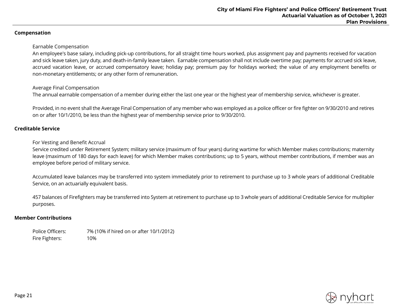#### **Compensation**

#### Earnable Compensation

An employee's base salary, including pick-up contributions, for all straight time hours worked, plus assignment pay and payments received for vacation and sick leave taken, jury duty, and death-in-family leave taken. Earnable compensation shall not include overtime pay; payments for accrued sick leave, accrued vacation leave, or accrued compensatory leave; holiday pay; premium pay for holidays worked; the value of any employment benefits or non-monetary entitlements; or any other form of remuneration.

#### Average Final Compensation

The annual earnable compensation of a member during either the last one year or the highest year of membership service, whichever is greater.

Provided, in no event shall the Average Final Compensation of any member who was employed as a police officer or fire fighter on 9/30/2010 and retires on or after 10/1/2010, be less than the highest year of membership service prior to 9/30/2010.

#### **Creditable Service**

For Vesting and Benefit Accrual

Service credited under Retirement System; military service (maximum of four years) during wartime for which Member makes contributions; maternity leave (maximum of 180 days for each leave) for which Member makes contributions; up to 5 years, without member contributions, if member was an employee before period of military service.

Accumulated leave balances may be transferred into system immediately prior to retirement to purchase up to 3 whole years of additional Creditable Service, on an actuarially equivalent basis.

457 balances of Firefighters may be transferred into System at retirement to purchase up to 3 whole years of additional Creditable Service for multiplier purposes.

#### **Member Contributions**

Police Officers: 7% (10% if hired on or after 10/1/2012) Fire Fighters: 10%

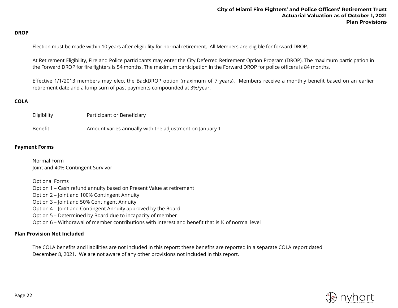#### **DROP**

Election must be made within 10 years after eligibility for normal retirement. All Members are eligible for forward DROP.

At Retirement Eligibility, Fire and Police participants may enter the City Deferred Retirement Option Program (DROP). The maximum participation in the Forward DROP for fire fighters is 54 months. The maximum participation in the Forward DROP for police officers is 84 months.

Effective 1/1/2013 members may elect the BackDROP option (maximum of 7 years). Members receive a monthly benefit based on an earlier retirement date and a lump sum of past payments compounded at 3%/year.

## **COLA**

| Eligibility | Participant or Beneficiary                              |
|-------------|---------------------------------------------------------|
| Benefit     | Amount varies annually with the adjustment on January 1 |

## **Payment Forms**

Normal Form Joint and 40% Contingent Survivor

Optional Forms

Option 1 – Cash refund annuity based on Present Value at retirement

Option 2 – Joint and 100% Contingent Annuity

Option 3 – Joint and 50% Contingent Annuity

Option 4 – Joint and Contingent Annuity approved by the Board

Option 5 – Determined by Board due to incapacity of member

Option 6 – Withdrawal of member contributions with interest and benefit that is ½ of normal level

#### **Plan Provision Not Included**

The COLA benefits and liabilities are not included in this report; these benefits are reported in a separate COLA report dated December 8, 2021. We are not aware of any other provisions not included in this report.

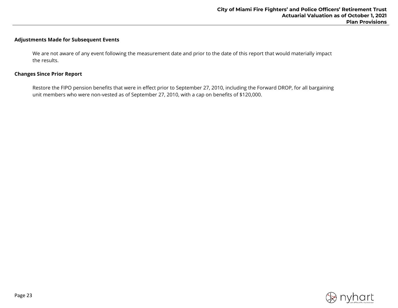# **Adjustments Made for Subsequent Events**

We are not aware of any event following the measurement date and prior to the date of this report that would materially impact the results.

#### **Changes Since Prior Report**

Restore the FIPO pension benefits that were in effect prior to September 27, 2010, including the Forward DROP, for all bargaining unit members who were non-vested as of September 27, 2010, with a cap on benefits of \$120,000.

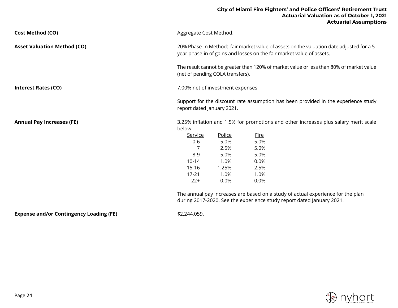| <b>Cost Method (CO)</b>            | Aggregate Cost Method.                                                                                                                                            |        |                                                                                         |  |
|------------------------------------|-------------------------------------------------------------------------------------------------------------------------------------------------------------------|--------|-----------------------------------------------------------------------------------------|--|
| <b>Asset Valuation Method (CO)</b> | 20% Phase-In Method: fair market value of assets on the valuation date adjusted for a 5-<br>year phase-in of gains and losses on the fair market value of assets. |        |                                                                                         |  |
|                                    | (net of pending COLA transfers).                                                                                                                                  |        | The result cannot be greater than 120% of market value or less than 80% of market value |  |
| <b>Interest Rates (CO)</b>         | 7.00% net of investment expenses                                                                                                                                  |        |                                                                                         |  |
|                                    | report dated January 2021.                                                                                                                                        |        | Support for the discount rate assumption has been provided in the experience study      |  |
| <b>Annual Pay Increases (FE)</b>   | below.                                                                                                                                                            |        | 3.25% inflation and 1.5% for promotions and other increases plus salary merit scale     |  |
|                                    | Service                                                                                                                                                           | Police | <b>Fire</b>                                                                             |  |
|                                    | $0-6$                                                                                                                                                             | 5.0%   | 5.0%                                                                                    |  |
|                                    |                                                                                                                                                                   | 2.5%   | 5.0%                                                                                    |  |
|                                    | $8 - 9$                                                                                                                                                           | 5.0%   | 5.0%                                                                                    |  |
|                                    | $10 - 14$                                                                                                                                                         | 1.0%   | 0.0%                                                                                    |  |
|                                    | 15-16                                                                                                                                                             | 1.25%  | 2.5%                                                                                    |  |
|                                    | $17 - 21$                                                                                                                                                         | 1.0%   | 1.0%                                                                                    |  |
|                                    | $22+$                                                                                                                                                             | 0.0%   | 0.0%                                                                                    |  |
|                                    | The annual pay increases are based on a study of actual experience for the plan<br>during 2017-2020. See the experience study report dated January 2021.          |        |                                                                                         |  |

**Expense and/or Contingency Loading (FE)** \$2,244,059.

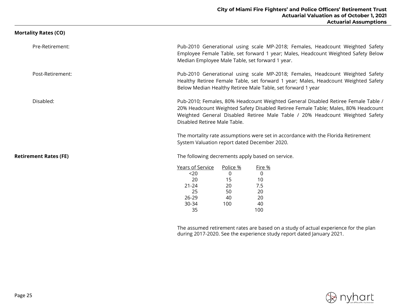| Mortality Rates (CO)         |                                                                                                                                                                                                                                                                                        |
|------------------------------|----------------------------------------------------------------------------------------------------------------------------------------------------------------------------------------------------------------------------------------------------------------------------------------|
| Pre-Retirement:              | Pub-2010 Generational using scale MP-2018; Females, Headcount Weighted Safety<br>Employee Female Table, set forward 1 year; Males, Headcount Weighted Safety Below<br>Median Employee Male Table, set forward 1 year.                                                                  |
| Post-Retirement:             | Pub-2010 Generational using scale MP-2018; Females, Headcount Weighted Safety<br>Healthy Retiree Female Table, set forward 1 year; Males, Headcount Weighted Safety<br>Below Median Healthy Retiree Male Table, set forward 1 year                                                     |
| Disabled:                    | Pub-2010; Females, 80% Headcount Weighted General Disabled Retiree Female Table /<br>20% Headcount Weighted Safety Disabled Retiree Female Table; Males, 80% Headcount<br>Weighted General Disabled Retiree Male Table / 20% Headcount Weighted Safety<br>Disabled Retiree Male Table. |
|                              | The mortality rate assumptions were set in accordance with the Florida Retirement<br>System Valuation report dated December 2020.                                                                                                                                                      |
| <b>Retirement Rates (FE)</b> | The following decrements apply based on service.                                                                                                                                                                                                                                       |
|                              | Years of Service<br>Police %<br>Fire %<br>0<br>$20$<br>0<br>20<br>15<br>10<br>$21 - 24$<br>20<br>7.5<br>25<br>50<br>20<br>$26 - 29$<br>40<br>20<br>30-34<br>100<br>40<br>100<br>35                                                                                                     |
|                              | $\blacksquare$                                                                                                                                                                                                                                                                         |

The assumed retirement rates are based on a study of actual experience for the plan during 2017-2020. See the experience study report dated January 2021.

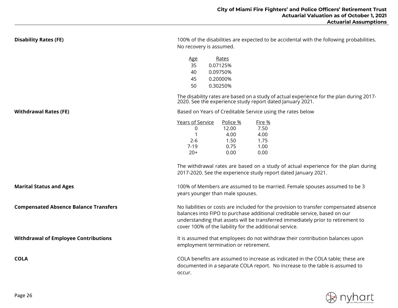| <b>Disability Rates (FE)</b>                 | 100% of the disabilities are expected to be accidental with the following probabilities.<br>No recovery is assumed.                                                                                                                                                                                                            |  |  |  |
|----------------------------------------------|--------------------------------------------------------------------------------------------------------------------------------------------------------------------------------------------------------------------------------------------------------------------------------------------------------------------------------|--|--|--|
|                                              | <u>Age</u><br>Rates<br>35<br>0.07125%<br>0.09750%<br>40<br>0.20000%<br>45<br>0.30250%<br>50                                                                                                                                                                                                                                    |  |  |  |
|                                              | The disability rates are based on a study of actual experience for the plan during 2017-<br>2020. See the experience study report dated January 2021.                                                                                                                                                                          |  |  |  |
| <b>Withdrawal Rates (FE)</b>                 | Based on Years of Creditable Service using the rates below                                                                                                                                                                                                                                                                     |  |  |  |
|                                              | Years of Service<br><u>Police %</u><br>Fire %<br>12.00<br>7.50<br>0<br>1<br>4.00<br>4.00<br>$2 - 6$<br>1.75<br>1.50<br>0.75<br>1.00<br>$7-19$<br>$20+$<br>0.00<br>0.00<br>The withdrawal rates are based on a study of actual experience for the plan during<br>2017-2020. See the experience study report dated January 2021. |  |  |  |
| <b>Marital Status and Ages</b>               | 100% of Members are assumed to be married. Female spouses assumed to be 3<br>years younger than male spouses.                                                                                                                                                                                                                  |  |  |  |
| <b>Compensated Absence Balance Transfers</b> | No liabilities or costs are included for the provision to transfer compensated absence<br>balances into FIPO to purchase additional creditable service, based on our<br>understanding that assets will be transferred immediately prior to retirement to<br>cover 100% of the liability for the additional service.            |  |  |  |
| <b>Withdrawal of Employee Contributions</b>  | It is assumed that employees do not withdraw their contribution balances upon<br>employment termination or retirement.                                                                                                                                                                                                         |  |  |  |
| <b>COLA</b>                                  | COLA benefits are assumed to increase as indicated in the COLA table; these are<br>documented in a separate COLA report. No increase to the table is assumed to<br>occur.                                                                                                                                                      |  |  |  |

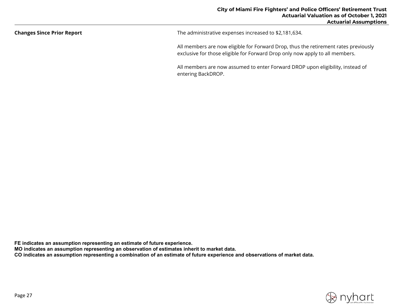| <b>Changes Since Prior Report</b> | The administrative expenses increased to \$2,181,634.                                                                                                               |  |  |
|-----------------------------------|---------------------------------------------------------------------------------------------------------------------------------------------------------------------|--|--|
|                                   | All members are now eligible for Forward Drop, thus the retirement rates previously<br>exclusive for those eligible for Forward Drop only now apply to all members. |  |  |

All members are now assumed to enter Forward DROP upon eligibility, instead of entering BackDROP.

**FE indicates an assumption representing an estimate of future experience.**

**MO indicates an assumption representing an observation of estimates inherit to market data.**

**CO indicates an assumption representing a combination of an estimate of future experience and observations of market data.**

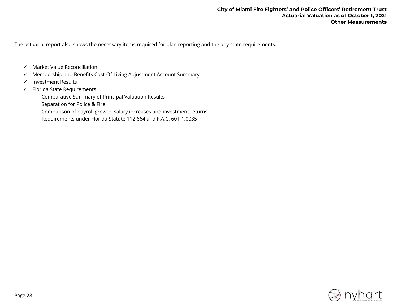The actuarial report also shows the necessary items required for plan reporting and the any state requirements.

- $\checkmark$  Market Value Reconciliation
- $\checkmark$  Membership and Benefits Cost-Of-Living Adjustment Account Summary
- $\checkmark$  Investment Results
- $\checkmark$  Florida State Requirements

Comparative Summary of Principal Valuation Results

Separation for Police & Fire

Comparison of payroll growth, salary increases and investment returns

Requirements under Florida Statute 112.664 and F.A.C. 60T-1.0035

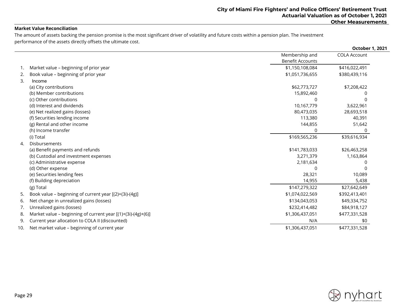#### **Market Value Reconciliation**

The amount of assets backing the pension promise is the most significant driver of volatility and future costs within a pension plan. The investment performance of the assets directly offsets the ultimate cost.

|     |                                                              |                         | October 1, 2021     |
|-----|--------------------------------------------------------------|-------------------------|---------------------|
|     |                                                              | Membership and          | <b>COLA Account</b> |
|     |                                                              | <b>Benefit Accounts</b> |                     |
| 1.  | Market value - beginning of prior year                       | \$1,150,108,084         | \$416,022,491       |
| 2.  | Book value - beginning of prior year                         | \$1,051,736,655         | \$380,439,116       |
| 3.  | Income                                                       |                         |                     |
|     | (a) City contributions                                       | \$62,773,727            | \$7,208,422         |
|     | (b) Member contributions                                     | 15,892,460              | O                   |
|     | (c) Other contributions                                      | 0                       | $\Omega$            |
|     | (d) Interest and dividends                                   | 10,167,779              | 3,622,961           |
|     | (e) Net realized gains (losses)                              | 80,473,035              | 28,693,518          |
|     | (f) Securities lending income                                | 113,380                 | 40,391              |
|     | (g) Rental and other income                                  | 144,855                 | 51,642              |
|     | (h) Income transfer                                          | 0                       | 0                   |
|     | (i) Total                                                    | \$169,565,236           | \$39,616,934        |
| 4.  | Disbursements                                                |                         |                     |
|     | (a) Benefit payments and refunds                             | \$141,783,033           | \$26,463,258        |
|     | (b) Custodial and investment expenses                        | 3,271,379               | 1,163,864           |
|     | (c) Administrative expense                                   | 2,181,634               | n                   |
|     | (d) Other expense                                            | 0                       | $\Omega$            |
|     | (e) Securities lending fees                                  | 28,321                  | 10,089              |
|     | (f) Building depreciation                                    | 14,955                  | 5,438               |
|     | (g) Total                                                    | \$147,279,322           | \$27,642,649        |
| 5.  | Book value - beginning of current year [(2)+(3i)-(4g)]       | \$1,074,022,569         | \$392,413,401       |
| 6.  | Net change in unrealized gains (losses)                      | \$134,043,053           | \$49,334,752        |
| 7.  | Unrealized gains (losses)                                    | \$232,414,482           | \$84,918,127        |
| 8.  | Market value - beginning of current year [(1)+(3i)-(4g)+(6)] | \$1,306,437,051         | \$477,331,528       |
| 9.  | Current year allocation to COLA II (discounted)              | N/A                     | \$0                 |
| 10. | Net market value - beginning of current year                 | \$1,306,437,051         | \$477,331,528       |

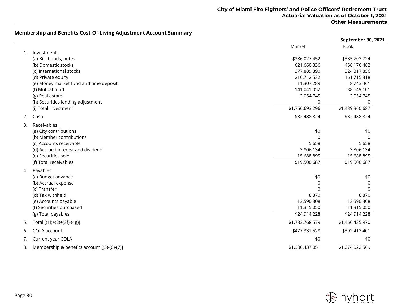# **Membership and Benefits Cost-Of-Living Adjustment Account Summary**

|    |                                                          |                         | September 30, 2021         |
|----|----------------------------------------------------------|-------------------------|----------------------------|
|    |                                                          | Market                  | <b>Book</b>                |
| 1. | Investments                                              |                         |                            |
|    | (a) Bill, bonds, notes                                   | \$386,027,452           | \$385,703,724              |
|    | (b) Domestic stocks                                      | 621,660,336             | 468,176,482                |
|    | (c) International stocks                                 | 377,889,890             | 324,317,856                |
|    | (d) Private equity                                       | 216,712,532             | 161,715,318                |
|    | (e) Money market fund and time deposit                   | 11,307,289              | 8,743,461                  |
|    | (f) Mutual fund                                          | 141,041,052             | 88,649,101                 |
|    | (g) Real estate                                          | 2,054,745               | 2,054,745                  |
|    | (h) Securities lending adjustment                        | $\Omega$                | 0                          |
|    | (i) Total investment                                     | \$1,756,693,296         | \$1,439,360,687            |
| 2. | Cash                                                     | \$32,488,824            | \$32,488,824               |
| 3. | Receivables                                              |                         |                            |
|    | (a) City contributions                                   | \$0                     | \$0                        |
|    | (b) Member contributions                                 | $\Omega$                | $\Omega$                   |
|    | (c) Accounts receivable                                  | 5,658                   | 5,658                      |
|    | (d) Accrued interest and dividend<br>(e) Securities sold | 3,806,134<br>15,688,895 | 3,806,134                  |
|    | (f) Total receivables                                    | \$19,500,687            | 15,688,895<br>\$19,500,687 |
|    |                                                          |                         |                            |
| 4. | Payables:<br>(a) Budget advance                          | \$0                     | \$0                        |
|    | (b) Accrual expense                                      | $\Omega$                | $\Omega$                   |
|    | (c) Transfer                                             | $\Omega$                | $\Omega$                   |
|    | (d) Tax withheld                                         | 8,870                   | 8,870                      |
|    | (e) Accounts payable                                     | 13,590,308              | 13,590,308                 |
|    | (f) Securities purchased                                 | 11,315,050              | 11,315,050                 |
|    | (g) Total payables                                       | \$24,914,228            | \$24,914,228               |
| 5. | Total [(1i)+(2)+(3f)-(4g)]                               | \$1,783,768,579         | \$1,466,435,970            |
| 6. | COLA account                                             | \$477,331,528           | \$392,413,401              |
| 7. | Current year COLA                                        | \$0                     | \$0                        |
| 8. | Membership & benefits account [(5)-(6)-(7)]              | \$1,306,437,051         | \$1,074,022,569            |

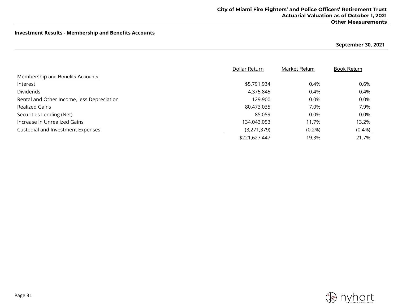# **Investment Results - Membership and Benefits Accounts**

**September 30, 2021**

|                                            | Dollar Return | Market Return | <b>Book Return</b> |
|--------------------------------------------|---------------|---------------|--------------------|
| <b>Membership and Benefits Accounts</b>    |               |               |                    |
| Interest                                   | \$5,791,934   | 0.4%          | 0.6%               |
| Dividends                                  | 4,375,845     | 0.4%          | 0.4%               |
| Rental and Other Income, less Depreciation | 129,900       | 0.0%          | 0.0%               |
| <b>Realized Gains</b>                      | 80,473,035    | 7.0%          | 7.9%               |
| Securities Lending (Net)                   | 85,059        | 0.0%          | 0.0%               |
| Increase in Unrealized Gains               | 134,043,053   | 11.7%         | 13.2%              |
| Custodial and Investment Expenses          | (3,271,379)   | $(0.2\%)$     | $(0.4\%)$          |
|                                            | \$221,627,447 | 19.3%         | 21.7%              |

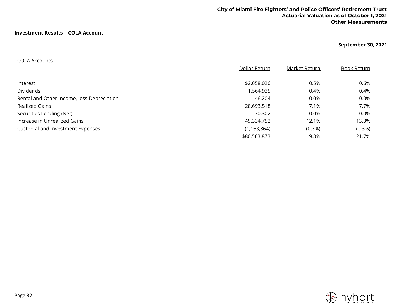## **Investment Results – COLA Account**

# **September 30, 2021**

#### COLA Accounts

|                                            | Dollar Return | Market Return | <b>Book Return</b> |
|--------------------------------------------|---------------|---------------|--------------------|
|                                            |               |               |                    |
| Interest                                   | \$2,058,026   | 0.5%          | 0.6%               |
| <b>Dividends</b>                           | 1,564,935     | 0.4%          | 0.4%               |
| Rental and Other Income, less Depreciation | 46,204        | 0.0%          | 0.0%               |
| <b>Realized Gains</b>                      | 28,693,518    | 7.1%          | 7.7%               |
| Securities Lending (Net)                   | 30,302        | 0.0%          | 0.0%               |
| Increase in Unrealized Gains               | 49,334,752    | 12.1%         | 13.3%              |
| Custodial and Investment Expenses          | (1, 163, 864) | $(0.3\%)$     | $(0.3\%)$          |
|                                            | \$80,563,873  | 19.8%         | 21.7%              |

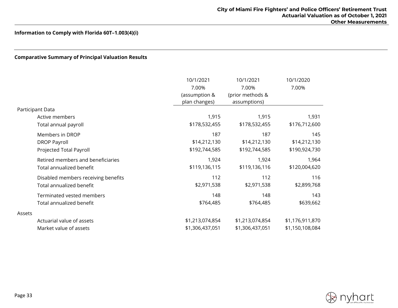# **Comparative Summary of Principal Valuation Results**

|        |                                     | 10/1/2021       | 10/1/2021        | 10/1/2020       |
|--------|-------------------------------------|-----------------|------------------|-----------------|
|        |                                     | 7.00%           | 7.00%            | 7.00%           |
|        |                                     | (assumption &   | (prior methods & |                 |
|        |                                     | plan changes)   | assumptions)     |                 |
|        | Participant Data                    |                 |                  |                 |
|        | Active members                      | 1,915           | 1,915            | 1,931           |
|        | Total annual payroll                | \$178,532,455   | \$178,532,455    | \$176,712,600   |
|        | Members in DROP                     | 187             | 187              | 145             |
|        | <b>DROP Payroll</b>                 | \$14,212,130    | \$14,212,130     | \$14,212,130    |
|        | Projected Total Payroll             | \$192,744,585   | \$192,744,585    | \$190,924,730   |
|        | Retired members and beneficiaries   | 1,924           | 1,924            | 1,964           |
|        | Total annualized benefit            | \$119,136,115   | \$119,136,116    | \$120,004,620   |
|        | Disabled members receiving benefits | 112             | 112              | 116             |
|        | Total annualized benefit            | \$2,971,538     | \$2,971,538      | \$2,899,768     |
|        | Terminated vested members           | 148             | 148              | 143             |
|        | Total annualized benefit            | \$764,485       | \$764,485        | \$639,662       |
| Assets |                                     |                 |                  |                 |
|        | Actuarial value of assets           | \$1,213,074,854 | \$1,213,074,854  | \$1,176,911,870 |
|        | Market value of assets              | \$1,306,437,051 | \$1,306,437,051  | \$1,150,108,084 |

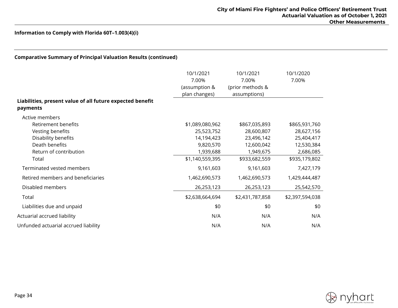| <b>Comparative Summary of Principal Valuation Results (continued)</b> |                                                      |                                                        |                          |
|-----------------------------------------------------------------------|------------------------------------------------------|--------------------------------------------------------|--------------------------|
|                                                                       | 10/1/2021<br>7.00%<br>(assumption &<br>plan changes) | 10/1/2021<br>7.00%<br>(prior methods &<br>assumptions) | 10/1/2020<br>7.00%       |
| Liabilities, present value of all future expected benefit<br>payments |                                                      |                                                        |                          |
| Active members<br><b>Retirement benefits</b>                          | \$1,089,080,962                                      | \$867,035,893                                          | \$865,931,760            |
| Vesting benefits<br>Disability benefits                               | 25,523,752<br>14,194,423                             | 28,600,807<br>23,496,142                               | 28,627,156<br>25,404,417 |
| Death benefits<br>Return of contribution                              | 9,820,570<br>1,939,688                               | 12,600,042<br>1,949,675                                | 12,530,384<br>2,686,085  |
| Total                                                                 | \$1,140,559,395                                      | \$933,682,559                                          | \$935,179,802            |
| Terminated vested members                                             | 9,161,603                                            | 9,161,603                                              | 7,427,179                |
| Retired members and beneficiaries                                     | 1,462,690,573                                        | 1,462,690,573                                          | 1,429,444,487            |
| Disabled members                                                      | 26,253,123                                           | 26,253,123                                             | 25,542,570               |
| Total                                                                 | \$2,638,664,694                                      | \$2,431,787,858                                        | \$2,397,594,038          |
| Liabilities due and unpaid                                            | \$0                                                  | \$0                                                    | \$0                      |
| Actuarial accrued liability                                           | N/A                                                  | N/A                                                    | N/A                      |
| Unfunded actuarial accrued liability                                  | N/A                                                  | N/A                                                    | N/A                      |

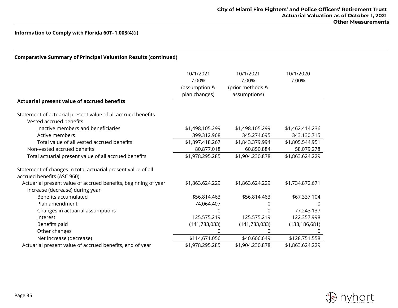| <b>Comparative Summary of Principal Valuation Results (continued)</b>                             |                                                      |                                                        |                    |
|---------------------------------------------------------------------------------------------------|------------------------------------------------------|--------------------------------------------------------|--------------------|
|                                                                                                   | 10/1/2021<br>7.00%<br>(assumption &<br>plan changes) | 10/1/2021<br>7.00%<br>(prior methods &<br>assumptions) | 10/1/2020<br>7.00% |
| Actuarial present value of accrued benefits                                                       |                                                      |                                                        |                    |
| Statement of actuarial present value of all accrued benefits<br>Vested accrued benefits           |                                                      |                                                        |                    |
| Inactive members and beneficiaries                                                                | \$1,498,105,299                                      | \$1,498,105,299                                        | \$1,462,414,236    |
| Active members                                                                                    | 399,312,968                                          | 345,274,695                                            | 343,130,715        |
| Total value of all vested accrued benefits                                                        | \$1,897,418,267                                      | \$1,843,379,994                                        | \$1,805,544,951    |
| Non-vested accrued benefits                                                                       | 80,877,018                                           | 60,850,884                                             | 58,079,278         |
| Total actuarial present value of all accrued benefits                                             | \$1,978,295,285                                      | \$1,904,230,878                                        | \$1,863,624,229    |
| Statement of changes in total actuarial present value of all<br>accrued benefits (ASC 960)        |                                                      |                                                        |                    |
| Actuarial present value of accrued benefits, beginning of year<br>Increase (decrease) during year | \$1,863,624,229                                      | \$1,863,624,229                                        | \$1,734,872,671    |
| Benefits accumulated                                                                              | \$56,814,463                                         | \$56,814,463                                           | \$67,337,104       |
| Plan amendment                                                                                    | 74,064,407                                           | 0                                                      | 0                  |
| Changes in actuarial assumptions                                                                  | 0                                                    | 0                                                      | 77,243,137         |
| Interest                                                                                          | 125,575,219                                          | 125,575,219                                            | 122,357,998        |
| Benefits paid                                                                                     | (141, 783, 033)                                      | (141, 783, 033)                                        | (138, 186, 681)    |
| Other changes                                                                                     | 0                                                    | 0                                                      | 0                  |
| Net increase (decrease)                                                                           | \$114,671,056                                        | \$40,606,649                                           | \$128,751,558      |
| Actuarial present value of accrued benefits, end of year                                          | \$1,978,295,285                                      | \$1,904,230,878                                        | \$1,863,624,229    |

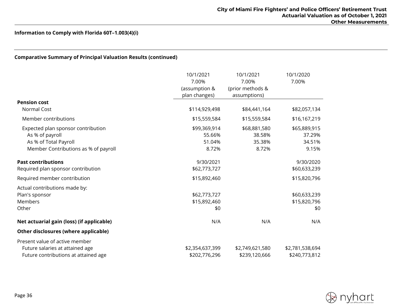# **Comparative Summary of Principal Valuation Results (continued)**

|                                           | 10/1/2021       | 10/1/2021        | 10/1/2020       |
|-------------------------------------------|-----------------|------------------|-----------------|
|                                           | 7.00%           | 7.00%            | 7.00%           |
|                                           | (assumption &   | (prior methods & |                 |
|                                           | plan changes)   | assumptions)     |                 |
| <b>Pension cost</b>                       |                 |                  |                 |
| Normal Cost                               | \$114,929,498   | \$84,441,164     | \$82,057,134    |
| Member contributions                      | \$15,559,584    | \$15,559,584     | \$16,167,219    |
| Expected plan sponsor contribution        | \$99,369,914    | \$68,881,580     | \$65,889,915    |
| As % of payroll                           | 55.66%          | 38.58%           | 37.29%          |
| As % of Total Payroll                     | 51.04%          | 35.38%           | 34.51%          |
| Member Contributions as % of payroll      | 8.72%           | 8.72%            | 9.15%           |
| <b>Past contributions</b>                 | 9/30/2021       |                  | 9/30/2020       |
| Required plan sponsor contribution        | \$62,773,727    |                  | \$60,633,239    |
| Required member contribution              | \$15,892,460    |                  | \$15,820,796    |
| Actual contributions made by:             |                 |                  |                 |
| Plan's sponsor                            | \$62,773,727    |                  | \$60,633,239    |
| Members                                   | \$15,892,460    |                  | \$15,820,796    |
| Other                                     | \$0             |                  | \$0             |
| Net actuarial gain (loss) (if applicable) | N/A             | N/A              | N/A             |
| Other disclosures (where applicable)      |                 |                  |                 |
| Present value of active member            |                 |                  |                 |
| Future salaries at attained age           | \$2,354,637,399 | \$2,749,621,580  | \$2,781,538,694 |
| Future contributions at attained age      | \$202,776,296   | \$239,120,666    | \$240,773,812   |

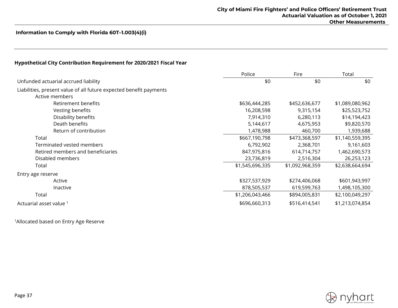## **Hypothetical City Contribution Requirement for 2020/2021 Fiscal Year**

|                                                                    | Police          | Fire            | Total           |
|--------------------------------------------------------------------|-----------------|-----------------|-----------------|
| Unfunded actuarial accrued liability                               | \$0             | \$0             | \$0             |
| Liabilities, present value of all future expected benefit payments |                 |                 |                 |
| Active members                                                     |                 |                 |                 |
| Retirement benefits                                                | \$636,444,285   | \$452,636,677   | \$1,089,080,962 |
| Vesting benefits                                                   | 16,208,598      | 9,315,154       | \$25,523,752    |
| Disability benefits                                                | 7,914,310       | 6,280,113       | \$14,194,423    |
| Death benefits                                                     | 5,144,617       | 4,675,953       | \$9,820,570     |
| Return of contribution                                             | 1,478,988       | 460,700         | 1,939,688       |
| Total                                                              | \$667,190,798   | \$473,368,597   | \$1,140,559,395 |
| Terminated vested members                                          | 6,792,902       | 2,368,701       | 9,161,603       |
| Retired members and beneficiaries                                  | 847,975,816     | 614,714,757     | 1,462,690,573   |
| Disabled members                                                   | 23,736,819      | 2,516,304       | 26,253,123      |
| Total                                                              | \$1,545,696,335 | \$1,092,968,359 | \$2,638,664,694 |
| Entry age reserve                                                  |                 |                 |                 |
| Active                                                             | \$327,537,929   | \$274,406,068   | \$601,943,997   |
| Inactive                                                           | 878,505,537     | 619,599,763     | 1,498,105,300   |
| Total                                                              | \$1,206,043,466 | \$894,005,831   | \$2,100,049,297 |
| Actuarial asset value 1                                            | \$696,660,313   | \$516,414,541   | \$1,213,074,854 |

1Allocated based on Entry Age Reserve

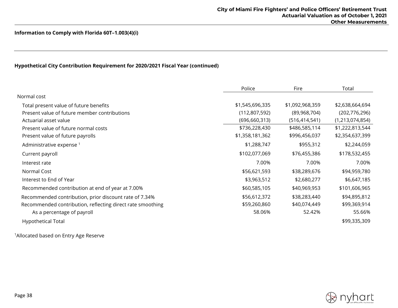# **Hypothetical City Contribution Requirement for 2020/2021 Fiscal Year (continued)**

|                                                            | Police          | Fire            | Total              |
|------------------------------------------------------------|-----------------|-----------------|--------------------|
| Normal cost                                                |                 |                 |                    |
| Total present value of future benefits                     | \$1,545,696,335 | \$1,092,968,359 | \$2,638,664,694    |
| Present value of future member contributions               | (112,807,592)   | (89,968,704)    | (202, 776, 296)    |
| Actuarial asset value                                      | (696, 660, 313) | (516, 414, 541) | (1, 213, 074, 854) |
| Present value of future normal costs                       | \$736,228,430   | \$486,585,114   | \$1,222,813,544    |
| Present value of future payrolls                           | \$1,358,181,362 | \$996,456,037   | \$2,354,637,399    |
| Administrative expense <sup>1</sup>                        | \$1,288,747     | \$955,312       | \$2,244,059        |
| Current payroll                                            | \$102,077,069   | \$76,455,386    | \$178,532,455      |
| Interest rate                                              | 7.00%           | 7.00%           | 7.00%              |
| Normal Cost                                                | \$56,621,593    | \$38,289,676    | \$94,959,780       |
| Interest to End of Year                                    | \$3,963,512     | \$2,680,277     | \$6,647,185        |
| Recommended contribution at end of year at 7.00%           | \$60,585,105    | \$40,969,953    | \$101,606,965      |
| Recommended contribution, prior discount rate of 7.34%     | \$56,612,372    | \$38,283,440    | \$94,895,812       |
| Recommended contribution, reflecting direct rate smoothing | \$59,260,860    | \$40,074,449    | \$99,369,914       |
| As a percentage of payroll                                 | 58.06%          | 52.42%          | 55.66%             |
| <b>Hypothetical Total</b>                                  |                 |                 | \$99,335,309       |

1Allocated based on Entry Age Reserve

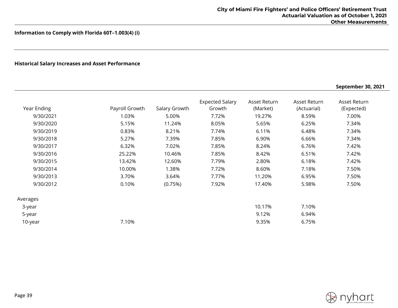# **Historical Salary Increases and Asset Performance**

|             |                |               |                                  |                          |                             | September 30, 2021         |
|-------------|----------------|---------------|----------------------------------|--------------------------|-----------------------------|----------------------------|
| Year Ending | Payroll Growth | Salary Growth | <b>Expected Salary</b><br>Growth | Asset Return<br>(Market) | Asset Return<br>(Actuarial) | Asset Return<br>(Expected) |
| 9/30/2021   | 1.03%          | 5.00%         | 7.72%                            | 19.27%                   | 8.59%                       | 7.00%                      |
| 9/30/2020   | 5.15%          | 11.24%        | 8.05%                            | 5.65%                    | 6.25%                       | 7.34%                      |
| 9/30/2019   | 0.83%          | 8.21%         | 7.74%                            | 6.11%                    | 6.48%                       | 7.34%                      |
| 9/30/2018   | 5.27%          | 7.39%         | 7.85%                            | 6.90%                    | 6.66%                       | 7.34%                      |
| 9/30/2017   | 6.32%          | 7.02%         | 7.85%                            | 8.24%                    | 6.76%                       | 7.42%                      |
| 9/30/2016   | 25.22%         | 10.46%        | 7.85%                            | 8.42%                    | 6.51%                       | 7.42%                      |
| 9/30/2015   | 13.42%         | 12.60%        | 7.79%                            | 2.80%                    | 6.18%                       | 7.42%                      |
| 9/30/2014   | 10.00%         | 1.38%         | 7.72%                            | 8.60%                    | 7.18%                       | 7.50%                      |
| 9/30/2013   | 3.70%          | 3.64%         | 7.77%                            | 11.20%                   | 6.95%                       | 7.50%                      |
| 9/30/2012   | 0.10%          | (0.75%)       | 7.92%                            | 17.40%                   | 5.98%                       | 7.50%                      |
| Averages    |                |               |                                  |                          |                             |                            |
| 3-year      |                |               |                                  | 10.17%                   | 7.10%                       |                            |
| 5-year      |                |               |                                  | 9.12%                    | 6.94%                       |                            |
| 10-year     | 7.10%          |               |                                  | 9.35%                    | 6.75%                       |                            |
|             |                |               |                                  |                          |                             |                            |

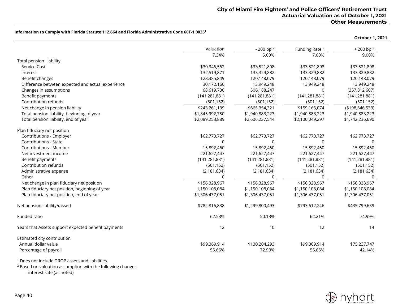|                                                     |                 |                  |                           | October 1, 2021    |
|-----------------------------------------------------|-----------------|------------------|---------------------------|--------------------|
|                                                     | Valuation       | $-200$ bp $^{2}$ | Funding Rate <sup>2</sup> | $+200$ bp $^{2}$   |
|                                                     | 7.34%           | 5.00%            | 7.00%                     | 9.00%              |
| Total pension liability                             |                 |                  |                           |                    |
| Service Cost                                        | \$30,346,562    | \$33,521,898     | \$33,521,898              | \$33,521,898       |
| Interest                                            | 132,519,871     | 133,329,882      | 133,329,882               | 133,329,882        |
| Benefit changes                                     | 123,385,849     | 120,148,079      | 120,148,079               | 120,148,079        |
| Difference between expected and actual experience   | 30,172,160      | 13,949,248       | 13,949,248                | 13,949,248         |
| Changes in assumptions                              | 68,619,730      | 506,188,247      | 0                         | (357, 812, 607)    |
| Benefit payments                                    | (141, 281, 881) | (141, 281, 881)  | (141, 281, 881)           | (141, 281, 881)    |
| Contribution refunds                                | (501, 152)      | (501, 152)       | (501, 152)                | (501, 152)         |
| Net change in pension liability                     | \$243,261,139   | \$665,354,321    | \$159,166,074             | ( \$198, 646, 533) |
| Total pension liability, beginning of year          | \$1,845,992,750 | \$1,940,883,223  | \$1,940,883,223           | \$1,940,883,223    |
| Total pension liability, end of year                | \$2,089,253,889 | \$2,606,237,544  | \$2,100,049,297           | \$1,742,236,690    |
| Plan fiduciary net position                         |                 |                  |                           |                    |
| Contributions - Employer                            | \$62,773,727    | \$62,773,727     | \$62,773,727              | \$62,773,727       |
| Contributions - State                               | 0               | 0                | 0                         | $\Omega$           |
| <b>Contributions - Member</b>                       | 15,892,460      | 15,892,460       | 15,892,460                | 15,892,460         |
| Net investment income                               | 221,627,447     | 221,627,447      | 221,627,447               | 221,627,447        |
| Benefit payments                                    | (141, 281, 881) | (141, 281, 881)  | (141, 281, 881)           | (141, 281, 881)    |
| Contribution refunds                                | (501, 152)      | (501, 152)       | (501, 152)                | (501, 152)         |
| Administrative expense                              | (2, 181, 634)   | (2, 181, 634)    | (2, 181, 634)             | (2, 181, 634)      |
| Other                                               | $\Omega$        | $\Omega$         | $\Omega$                  | $\Omega$           |
| Net change in plan fiduciary net position           | \$156,328,967   | \$156,328,967    | \$156,328,967             | \$156,328,967      |
| Plan fiduciary net position, beginning of year      | 1,150,108,084   | \$1,150,108,084  | \$1,150,108,084           | \$1,150,108,084    |
| Plan fiduciary net position, end of year            | \$1,306,437,051 | \$1,306,437,051  | \$1,306,437,051           | \$1,306,437,051    |
| Net pension liability/(asset)                       | \$782,816,838   | \$1,299,800,493  | \$793,612,246             | \$435,799,639      |
| Funded ratio                                        | 62.53%          | 50.13%           | 62.21%                    | 74.99%             |
| Years that Assets support expected benefit payments | 12              | 10               | 12                        | 14                 |
| Estimated city contribution                         |                 |                  |                           |                    |
| Annual dollar value                                 | \$99,369,914    | \$130,204,293    | \$99,369,914              | \$75,237,747       |
| Percentage of payroll                               | 55.66%          | 72.93%           | 55.66%                    | 42.14%             |

<sup>1</sup> Does not include DROP assets and liabilities

<sup>2</sup> Based on valuation assumption with the following changes

- interest rate (as noted)

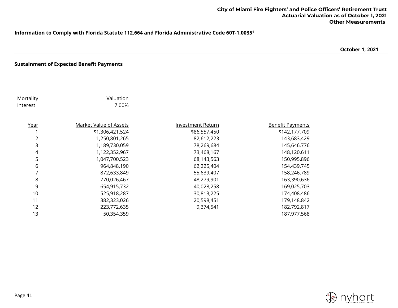**October 1, 2021**

## **Sustainment of Expected Benefit Payments**

| Mortality<br>Interest | Valuation<br>7.00%            |                          |                         |
|-----------------------|-------------------------------|--------------------------|-------------------------|
| Year                  | <b>Market Value of Assets</b> | <b>Investment Return</b> | <b>Benefit Payments</b> |
|                       | \$1,306,421,524               | \$86,557,450             | \$142,177,709           |
| 2                     | 1,250,801,265                 | 82,612,223               | 143,683,429             |
| 3                     | 1,189,730,059                 | 78,269,684               | 145,646,776             |
| 4                     | 1,122,352,967                 | 73,468,167               | 148,120,611             |
| 5                     | 1,047,700,523                 | 68,143,563               | 150,995,896             |
| 6                     | 964,848,190                   | 62,225,404               | 154,439,745             |
| 7                     | 872,633,849                   | 55,639,407               | 158,246,789             |
| 8                     | 770,026,467                   | 48,279,901               | 163,390,636             |
| 9                     | 654,915,732                   | 40,028,258               | 169,025,703             |
| 10                    | 525,918,287                   | 30,813,225               | 174,408,486             |
| 11                    | 382,323,026                   | 20,598,451               | 179,148,842             |
| 12                    | 223,772,635                   | 9,374,541                | 182,792,817             |
| 13                    | 50,354,359                    |                          | 187,977,568             |
|                       |                               |                          |                         |

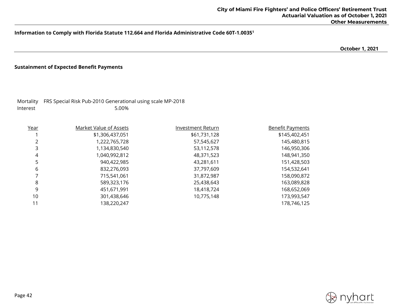**October 1, 2021**

#### **Sustainment of Expected Benefit Payments**

Interest 5.00%

Mortality FRS Special Risk Pub-2010 Generational using scale MP-2018

| <u>Year</u> | <b>Market Value of Assets</b> | Investment Return | <b>Benefit Payments</b> |
|-------------|-------------------------------|-------------------|-------------------------|
|             | \$1,306,437,051               | \$61,731,128      | \$145,402,451           |
|             | 1,222,765,728                 | 57,545,627        | 145,480,815             |
|             | 1,134,830,540                 | 53,112,578        | 146,950,306             |
| 4           | 1,040,992,812                 | 48,371,523        | 148,941,350             |
| 5           | 940,422,985                   | 43,281,611        | 151,428,503             |
| 6           | 832,276,093                   | 37,797,609        | 154,532,641             |
|             | 715,541,061                   | 31,872,987        | 158,090,872             |
| 8           | 589,323,176                   | 25,438,643        | 163,089,828             |
| 9           | 451,671,991                   | 18,418,724        | 168,652,069             |
| 10          | 301,438,646                   | 10,775,148        | 173,993,547             |
| 11          | 138,220,247                   |                   | 178,746,125             |

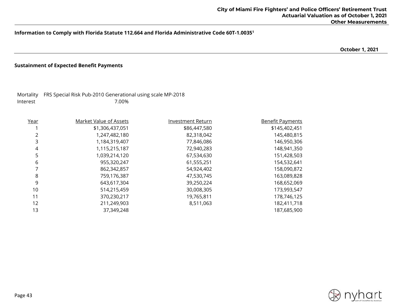**October 1, 2021**

# **Sustainment of Expected Benefit Payments**

Interest 7.00%

Mortality FRS Special Risk Pub-2010 Generational using scale MP-2018

| Year | <b>Market Value of Assets</b> | Investment Return | <b>Benefit Payments</b> |
|------|-------------------------------|-------------------|-------------------------|
|      | \$1,306,437,051               | \$86,447,580      | \$145,402,451           |
|      | 1,247,482,180                 | 82,318,042        | 145,480,815             |
| 3    | 1,184,319,407                 | 77,846,086        | 146,950,306             |
| 4    | 1,115,215,187                 | 72,940,283        | 148,941,350             |
| 5    | 1,039,214,120                 | 67,534,630        | 151,428,503             |
| 6    | 955,320,247                   | 61,555,251        | 154,532,641             |
|      | 862,342,857                   | 54,924,402        | 158,090,872             |
| 8    | 759,176,387                   | 47,530,745        | 163,089,828             |
| 9    | 643,617,304                   | 39,250,224        | 168,652,069             |
| 10   | 514,215,459                   | 30,008,305        | 173,993,547             |
| 11   | 370,230,217                   | 19,765,811        | 178,746,125             |
| 12   | 211,249,903                   | 8,511,063         | 182,411,718             |
| 13   | 37,349,248                    |                   | 187,685,900             |

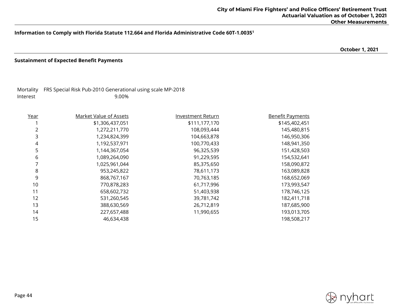**October 1, 2021**

#### **Sustainment of Expected Benefit Payments**

|          | Mortality FRS Special Risk Pub-2010 Generational using scale MP-2018 |
|----------|----------------------------------------------------------------------|
| Interest | 9.00%                                                                |

| Year | <b>Market Value of Assets</b> | <b>Investment Return</b> | <b>Benefit Payments</b> |
|------|-------------------------------|--------------------------|-------------------------|
|      | \$1,306,437,051               | \$111,177,170            | \$145,402,451           |
| 2    | 1,272,211,770                 | 108,093,444              | 145,480,815             |
| 3    | 1,234,824,399                 | 104,663,878              | 146,950,306             |
| 4    | 1,192,537,971                 | 100,770,433              | 148,941,350             |
| 5    | 1,144,367,054                 | 96,325,539               | 151,428,503             |
| 6    | 1,089,264,090                 | 91,229,595               | 154,532,641             |
| 7    | 1,025,961,044                 | 85,375,650               | 158,090,872             |
| 8    | 953,245,822                   | 78,611,173               | 163,089,828             |
| 9    | 868,767,167                   | 70,763,185               | 168,652,069             |
| 10   | 770,878,283                   | 61,717,996               | 173,993,547             |
| 11   | 658,602,732                   | 51,403,938               | 178,746,125             |
| 12   | 531,260,545                   | 39,781,742               | 182,411,718             |
| 13   | 388,630,569                   | 26,712,819               | 187,685,900             |
| 14   | 227,657,488                   | 11,990,655               | 193,013,705             |
| 15   | 46,634,438                    |                          | 198,508,217             |